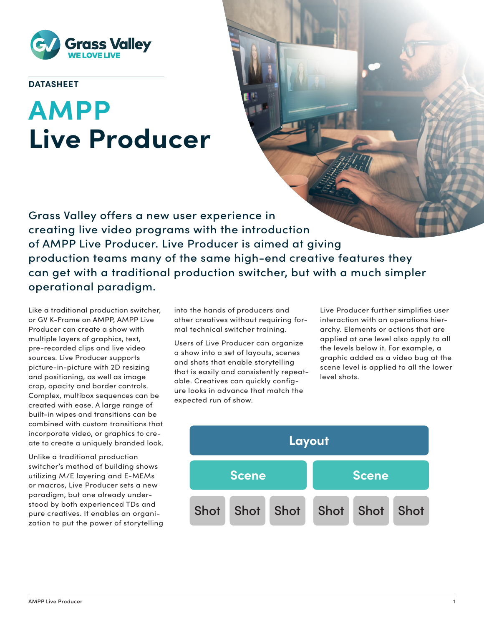

# **DATASHEET**

# **AMPP Live Producer**

Grass Valley offers a new user experience in creating live video programs with the introduction of AMPP Live Producer. Live Producer is aimed at giving production teams many of the same high-end creative features they can get with a traditional production switcher, but with a much simpler operational paradigm.

Like a traditional production switcher, or GV K-Frame on AMPP, AMPP Live Producer can create a show with multiple layers of graphics, text, pre-recorded clips and live video sources. Live Producer supports picture-in-picture with 2D resizing and positioning, as well as image crop, opacity and border controls. Complex, multibox sequences can be created with ease. A large range of built-in wipes and transitions can be combined with custom transitions that incorporate video, or graphics to create to create a uniquely branded look.

Unlike a traditional production switcher's method of building shows utilizing M/E layering and E-MEMs or macros, Live Producer sets a new paradigm, but one already understood by both experienced TDs and pure creatives. It enables an organization to put the power of storytelling into the hands of producers and other creatives without requiring formal technical switcher training.

Users of Live Producer can organize a show into a set of layouts, scenes and shots that enable storytelling that is easily and consistently repeatable. Creatives can quickly configure looks in advance that match the expected run of show.

Live Producer further simplifies user interaction with an operations hierarchy. Elements or actions that are applied at one level also apply to all the levels below it. For example, a graphic added as a video bug at the scene level is applied to all the lower level shots.

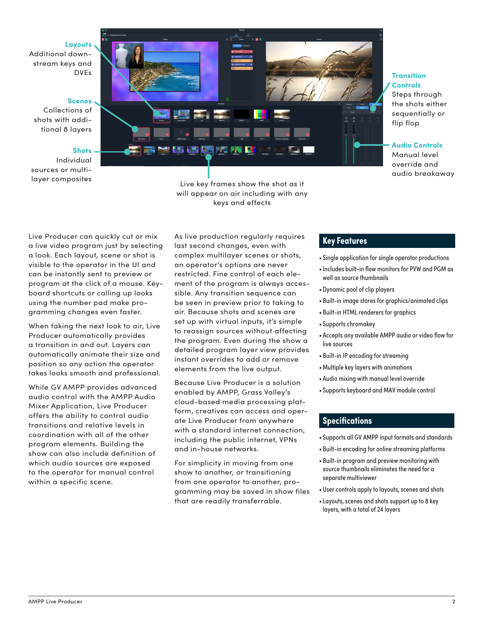#### **Layouts**

Additional downstream keys and DVEs

#### **Scenes**

Collections of shots with additional 8 layers

## **Shots**

Individual sources or multi-



layer composites Live key frames show the shot as it will appear on air including with any keys and effects

#### **Transition Controls**

Steps through the shots either sequentially or flip flop

### **Audio Controls**

Manual level override and audio breakaway

a live video program just by selecting a look. Each layout, scene or shot is visible to the operator in the UI and can be instantly sent to preview or program at the click of a mouse. Keyboard shortcuts or calling up looks using the number pad make programming changes even faster.

When taking the next look to air, Live Producer automatically provides a transition in and out. Layers can automatically animate their size and position so any action the operator takes looks smooth and professional.

While GV AMPP provides advanced audio control with the AMPP Audio Mixer Application, Live Producer offers the ability to control audio transitions and relative levels in coordination with all of the other program elements. Building the show can also include definition of which audio sources are exposed to the operator for manual control within a specific scene.

**Key Features** Live Producer can quickly cut or mix As live production regularly requires last second changes, even with complex multilayer scenes or shots, an operator's options are never restricted. Fine control of each element of the program is always accessible. Any transition sequence can be seen in preview prior to taking to air. Because shots and scenes are set up with virtual inputs, it's simple to reassign sources without affecting the program. Even during the show a detailed program layer view provides instant overrides to add or remove elements from the live output.

> Because Live Producer is a solution enabled by AMPP, Grass Valley's cloud-based media processing platform, creatives can access and operate Live Producer from anywhere with a standard internet connection, including the public internet, VPNs and in-house networks.

> For simplicity in moving from one show to another, or transitioning from one operator to another, programming may be saved in show files that are readily transferrable.

- Single application for single operator productions
- •Includes built-in flow monitors for PVW and PGM as well as source thumbnails
- Dynamic pool of clip players
- Built-in image stores for graphics/animated clips
- Built-in HTML renderers for graphics
- Supports chromakey
- Accepts any available AMPP audio or video flow for live sources
- Built-in IP encoding for streaming
- •Multiple key layers with animations
- Audio mixing with manual level override
- Supports keyboard and MAV module control

## **Specifications**

- Supports all GV AMPP input formats and standards
- Built-in encoding for online streaming platforms
- Built-in program and preview monitoring with source thumbnails eliminates the need for a separate multiviewer
- User controls apply to layouts, scenes and shots
- •Layouts, scenes and shots support up to 8 key layers, with a total of 24 layers